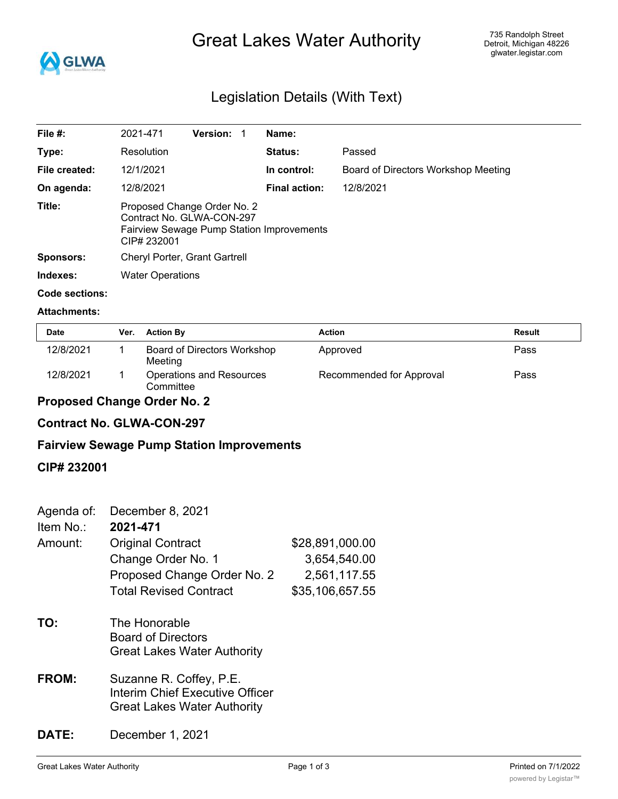

# Great Lakes Water Authority

## Legislation Details (With Text)

| File $#$ :       | 2021-471                                                                                                             | <b>Version:</b> | Name:                |                                     |
|------------------|----------------------------------------------------------------------------------------------------------------------|-----------------|----------------------|-------------------------------------|
| Type:            | Resolution                                                                                                           |                 | <b>Status:</b>       | Passed                              |
| File created:    | 12/1/2021                                                                                                            |                 | In control:          | Board of Directors Workshop Meeting |
| On agenda:       | 12/8/2021                                                                                                            |                 | <b>Final action:</b> | 12/8/2021                           |
| Title:           | Proposed Change Order No. 2<br>Contract No. GLWA-CON-297<br>Fairview Sewage Pump Station Improvements<br>CIP# 232001 |                 |                      |                                     |
| <b>Sponsors:</b> | Cheryl Porter, Grant Gartrell                                                                                        |                 |                      |                                     |
| Indexes:         | <b>Water Operations</b>                                                                                              |                 |                      |                                     |
| Code sections:   |                                                                                                                      |                 |                      |                                     |

#### **Attachments:**

| <b>Date</b> | Ver. | <b>Action By</b>                       | <b>Action</b>            | Result |
|-------------|------|----------------------------------------|--------------------------|--------|
| 12/8/2021   |      | Board of Directors Workshop<br>Meeting | Approved                 | Pass   |
| 12/8/2021   |      | Operations and Resources<br>Committee  | Recommended for Approval | Pass   |

## **Proposed Change Order No. 2**

## **Contract No. GLWA-CON-297**

## **Fairview Sewage Pump Station Improvements**

#### **CIP# 232001**

| Agenda of:<br>Item No.: | December 8, 2021<br>2021-471                                                                     |                 |
|-------------------------|--------------------------------------------------------------------------------------------------|-----------------|
| Amount:                 | <b>Original Contract</b>                                                                         | \$28,891,000.00 |
|                         | Change Order No. 1                                                                               | 3,654,540.00    |
|                         | Proposed Change Order No. 2                                                                      | 2,561,117.55    |
|                         | <b>Total Revised Contract</b>                                                                    | \$35,106,657.55 |
| TO:                     | The Honorable<br><b>Board of Directors</b><br><b>Great Lakes Water Authority</b>                 |                 |
| <b>FROM:</b>            | Suzanne R. Coffey, P.E.<br>Interim Chief Executive Officer<br><b>Great Lakes Water Authority</b> |                 |

## **DATE:** December 1, 2021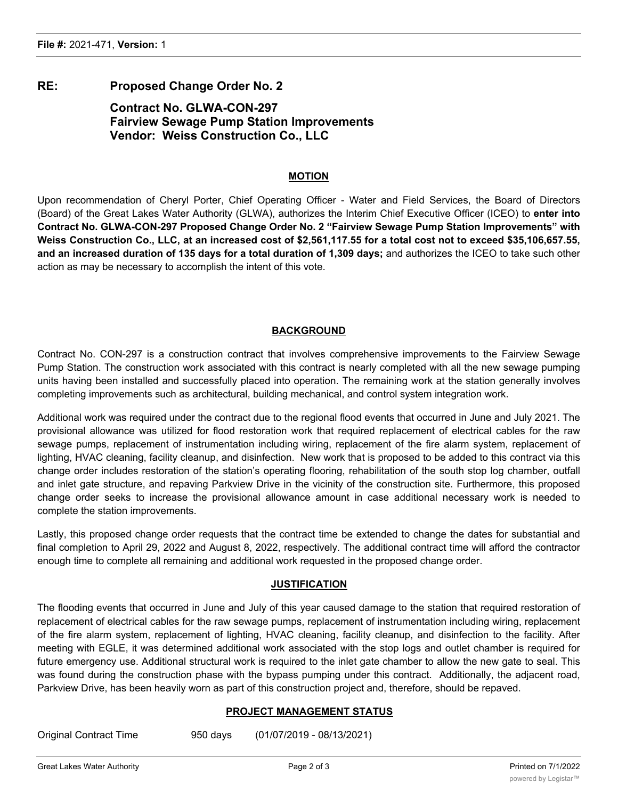### **RE: Proposed Change Order No. 2**

## **Contract No. GLWA-CON-297 Fairview Sewage Pump Station Improvements Vendor: Weiss Construction Co., LLC**

#### **MOTION**

Upon recommendation of Cheryl Porter, Chief Operating Officer - Water and Field Services, the Board of Directors (Board) of the Great Lakes Water Authority (GLWA), authorizes the Interim Chief Executive Officer (ICEO) to **enter into Contract No. GLWA-CON-297 Proposed Change Order No. 2 "Fairview Sewage Pump Station Improvements" with** Weiss Construction Co., LLC, at an increased cost of \$2,561,117.55 for a total cost not to exceed \$35,106,657.55, **and an increased duration of 135 days for a total duration of 1,309 days;** and authorizes the ICEO to take such other action as may be necessary to accomplish the intent of this vote.

#### **BACKGROUND**

Contract No. CON-297 is a construction contract that involves comprehensive improvements to the Fairview Sewage Pump Station. The construction work associated with this contract is nearly completed with all the new sewage pumping units having been installed and successfully placed into operation. The remaining work at the station generally involves completing improvements such as architectural, building mechanical, and control system integration work.

Additional work was required under the contract due to the regional flood events that occurred in June and July 2021. The provisional allowance was utilized for flood restoration work that required replacement of electrical cables for the raw sewage pumps, replacement of instrumentation including wiring, replacement of the fire alarm system, replacement of lighting, HVAC cleaning, facility cleanup, and disinfection. New work that is proposed to be added to this contract via this change order includes restoration of the station's operating flooring, rehabilitation of the south stop log chamber, outfall and inlet gate structure, and repaving Parkview Drive in the vicinity of the construction site. Furthermore, this proposed change order seeks to increase the provisional allowance amount in case additional necessary work is needed to complete the station improvements.

Lastly, this proposed change order requests that the contract time be extended to change the dates for substantial and final completion to April 29, 2022 and August 8, 2022, respectively. The additional contract time will afford the contractor enough time to complete all remaining and additional work requested in the proposed change order.

#### **JUSTIFICATION**

The flooding events that occurred in June and July of this year caused damage to the station that required restoration of replacement of electrical cables for the raw sewage pumps, replacement of instrumentation including wiring, replacement of the fire alarm system, replacement of lighting, HVAC cleaning, facility cleanup, and disinfection to the facility. After meeting with EGLE, it was determined additional work associated with the stop logs and outlet chamber is required for future emergency use. Additional structural work is required to the inlet gate chamber to allow the new gate to seal. This was found during the construction phase with the bypass pumping under this contract. Additionally, the adjacent road, Parkview Drive, has been heavily worn as part of this construction project and, therefore, should be repaved.

#### **PROJECT MANAGEMENT STATUS**

Original Contract Time 950 days (01/07/2019 - 08/13/2021)